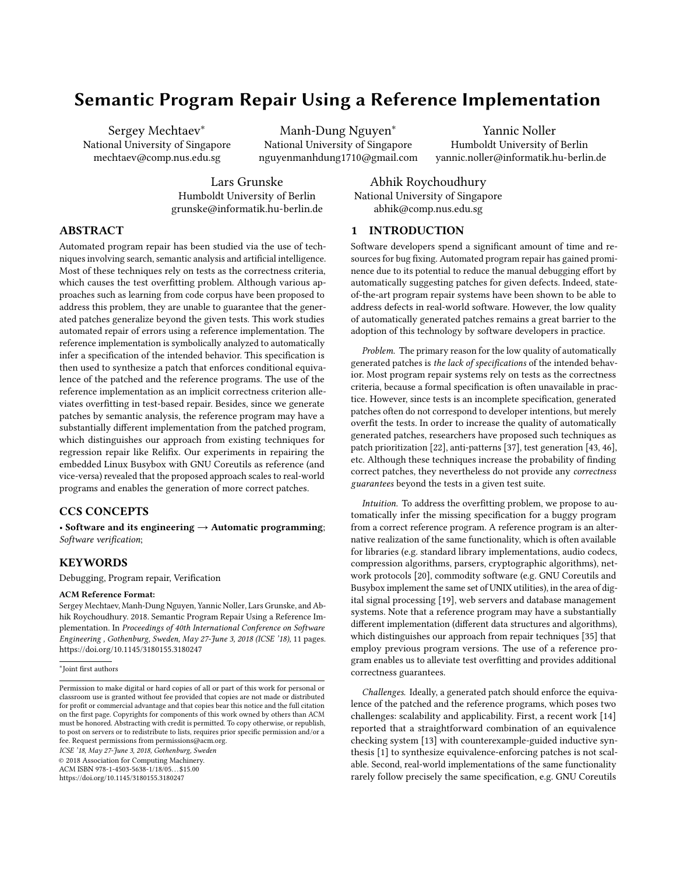# Semantic Program Repair Using a Reference Implementation

Sergey Mechtaev<sup>∗</sup> National University of Singapore mechtaev@comp.nus.edu.sg

Manh-Dung Nguyen<sup>∗</sup> National University of Singapore nguyenmanhdung1710@gmail.com

Yannic Noller Humboldt University of Berlin yannic.noller@informatik.hu-berlin.de

Lars Grunske Humboldt University of Berlin grunske@informatik.hu-berlin.de

National University of Singapore abhik@comp.nus.edu.sg

Abhik Roychoudhury

# ABSTRACT

Automated program repair has been studied via the use of techniques involving search, semantic analysis and artificial intelligence. Most of these techniques rely on tests as the correctness criteria, which causes the test overfitting problem. Although various approaches such as learning from code corpus have been proposed to address this problem, they are unable to guarantee that the generated patches generalize beyond the given tests. This work studies automated repair of errors using a reference implementation. The reference implementation is symbolically analyzed to automatically infer a specification of the intended behavior. This specification is then used to synthesize a patch that enforces conditional equivalence of the patched and the reference programs. The use of the reference implementation as an implicit correctness criterion alleviates overfitting in test-based repair. Besides, since we generate patches by semantic analysis, the reference program may have a substantially different implementation from the patched program, which distinguishes our approach from existing techniques for regression repair like Relifix. Our experiments in repairing the embedded Linux Busybox with GNU Coreutils as reference (and vice-versa) revealed that the proposed approach scales to real-world programs and enables the generation of more correct patches.

# CCS CONCEPTS

• Software and its engineering  $\rightarrow$  Automatic programming; Software verification;

# **KEYWORDS**

Debugging, Program repair, Verification

#### ACM Reference Format:

Sergey Mechtaev, Manh-Dung Nguyen, Yannic Noller, Lars Grunske, and Abhik Roychoudhury. 2018. Semantic Program Repair Using a Reference Implementation. In Proceedings of 40th International Conference on Software Engineering , Gothenburg, Sweden, May 27-June 3, 2018 (ICSE '18), 11 pages. https://doi.org/10.1145/3180155.3180247

ICSE '18, May 27-June 3, 2018, Gothenburg, Sweden

© 2018 Association for Computing Machinery.

ACM ISBN 978-1-4503-5638-1/18/05. . . \$15.00 https://doi.org/10.1145/3180155.3180247

1 INTRODUCTION

Software developers spend a significant amount of time and resources for bug fixing. Automated program repair has gained prominence due to its potential to reduce the manual debugging effort by automatically suggesting patches for given defects. Indeed, stateof-the-art program repair systems have been shown to be able to address defects in real-world software. However, the low quality of automatically generated patches remains a great barrier to the adoption of this technology by software developers in practice.

Problem. The primary reason for the low quality of automatically generated patches is the lack of specifications of the intended behavior. Most program repair systems rely on tests as the correctness criteria, because a formal specification is often unavailable in practice. However, since tests is an incomplete specification, generated patches often do not correspond to developer intentions, but merely overfit the tests. In order to increase the quality of automatically generated patches, researchers have proposed such techniques as patch prioritization [22], anti-patterns [37], test generation [43, 46], etc. Although these techniques increase the probability of finding correct patches, they nevertheless do not provide any correctness guarantees beyond the tests in a given test suite.

Intuition. To address the overfitting problem, we propose to automatically infer the missing specification for a buggy program from a correct reference program. A reference program is an alternative realization of the same functionality, which is often available for libraries (e.g. standard library implementations, audio codecs, compression algorithms, parsers, cryptographic algorithms), network protocols [20], commodity software (e.g. GNU Coreutils and Busybox implement the same set of UNIX utilities), in the area of digital signal processing [19], web servers and database management systems. Note that a reference program may have a substantially different implementation (different data structures and algorithms), which distinguishes our approach from repair techniques [35] that employ previous program versions. The use of a reference program enables us to alleviate test overfitting and provides additional correctness guarantees.

Challenges. Ideally, a generated patch should enforce the equivalence of the patched and the reference programs, which poses two challenges: scalability and applicability. First, a recent work [14] reported that a straightforward combination of an equivalence checking system [13] with counterexample-guided inductive synthesis [1] to synthesize equivalence-enforcing patches is not scalable. Second, real-world implementations of the same functionality rarely follow precisely the same specification, e.g. GNU Coreutils

<sup>∗</sup> Joint first authors

Permission to make digital or hard copies of all or part of this work for personal or classroom use is granted without fee provided that copies are not made or distributed for profit or commercial advantage and that copies bear this notice and the full citation on the first page. Copyrights for components of this work owned by others than ACM must be honored. Abstracting with credit is permitted. To copy otherwise, or republish, to post on servers or to redistribute to lists, requires prior specific permission and/or a fee. Request permissions from permissions@acm.org.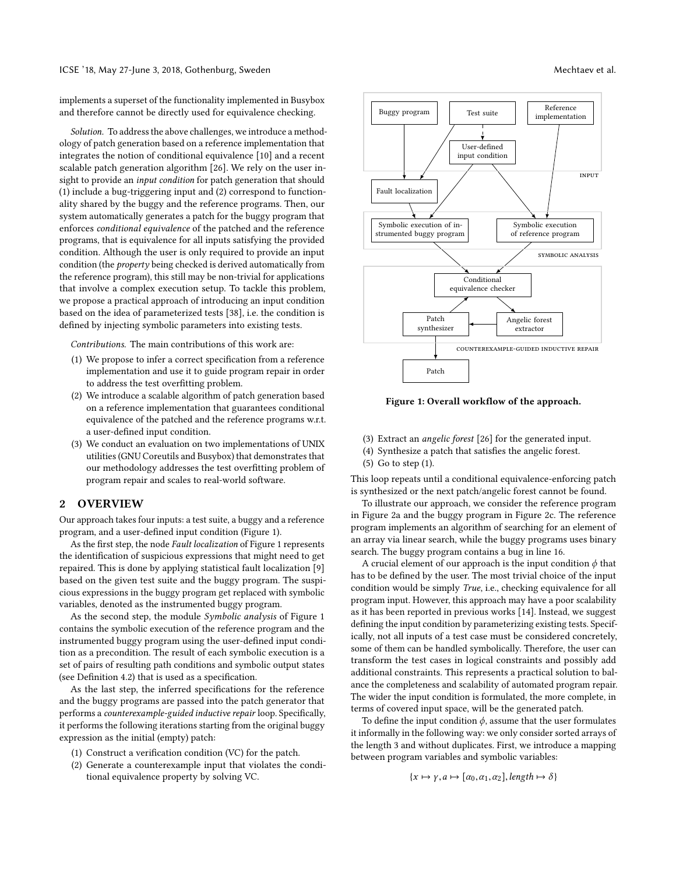implements a superset of the functionality implemented in Busybox and therefore cannot be directly used for equivalence checking.

Solution. To address the above challenges, we introduce a methodology of patch generation based on a reference implementation that integrates the notion of conditional equivalence [10] and a recent scalable patch generation algorithm [26]. We rely on the user insight to provide an input condition for patch generation that should (1) include a bug-triggering input and (2) correspond to functionality shared by the buggy and the reference programs. Then, our system automatically generates a patch for the buggy program that enforces conditional equivalence of the patched and the reference programs, that is equivalence for all inputs satisfying the provided condition. Although the user is only required to provide an input condition (the property being checked is derived automatically from the reference program), this still may be non-trivial for applications that involve a complex execution setup. To tackle this problem, we propose a practical approach of introducing an input condition based on the idea of parameterized tests [38], i.e. the condition is defined by injecting symbolic parameters into existing tests.

Contributions. The main contributions of this work are:

- (1) We propose to infer a correct specification from a reference implementation and use it to guide program repair in order to address the test overfitting problem.
- (2) We introduce a scalable algorithm of patch generation based on a reference implementation that guarantees conditional equivalence of the patched and the reference programs w.r.t. a user-defined input condition.
- (3) We conduct an evaluation on two implementations of UNIX utilities (GNU Coreutils and Busybox) that demonstrates that our methodology addresses the test overfitting problem of program repair and scales to real-world software.

#### 2 OVERVIEW

Our approach takes four inputs: a test suite, a buggy and a reference program, and a user-defined input condition (Figure 1).

As the first step, the node Fault localization of Figure 1 represents the identification of suspicious expressions that might need to get repaired. This is done by applying statistical fault localization [9] based on the given test suite and the buggy program. The suspicious expressions in the buggy program get replaced with symbolic variables, denoted as the instrumented buggy program.

As the second step, the module Symbolic analysis of Figure 1 contains the symbolic execution of the reference program and the instrumented buggy program using the user-defined input condition as a precondition. The result of each symbolic execution is a set of pairs of resulting path conditions and symbolic output states (see Definition 4.2) that is used as a specification.

As the last step, the inferred specifications for the reference and the buggy programs are passed into the patch generator that performs a counterexample-guided inductive repair loop. Specifically, it performs the following iterations starting from the original buggy expression as the initial (empty) patch:

- (1) Construct a verification condition (VC) for the patch.
- (2) Generate a counterexample input that violates the conditional equivalence property by solving VC.



Figure 1: Overall workflow of the approach.

- (3) Extract an angelic forest [26] for the generated input.
- (4) Synthesize a patch that satisfies the angelic forest.
- (5) Go to step (1).

This loop repeats until a conditional equivalence-enforcing patch is synthesized or the next patch/angelic forest cannot be found.

To illustrate our approach, we consider the reference program in Figure 2a and the buggy program in Figure 2c. The reference program implements an algorithm of searching for an element of an array via linear search, while the buggy programs uses binary search. The buggy program contains a bug in line 16.

A crucial element of our approach is the input condition  $\phi$  that has to be defined by the user. The most trivial choice of the input condition would be simply True, i.e., checking equivalence for all program input. However, this approach may have a poor scalability as it has been reported in previous works [14]. Instead, we suggest defining the input condition by parameterizing existing tests. Specifically, not all inputs of a test case must be considered concretely, some of them can be handled symbolically. Therefore, the user can transform the test cases in logical constraints and possibly add additional constraints. This represents a practical solution to balance the completeness and scalability of automated program repair. The wider the input condition is formulated, the more complete, in terms of covered input space, will be the generated patch.

To define the input condition  $\phi$ , assume that the user formulates it informally in the following way: we only consider sorted arrays of the length 3 and without duplicates. First, we introduce a mapping between program variables and symbolic variables:

$$
\{x \mapsto \gamma, a \mapsto [\alpha_0, \alpha_1, \alpha_2], length \mapsto \delta\}
$$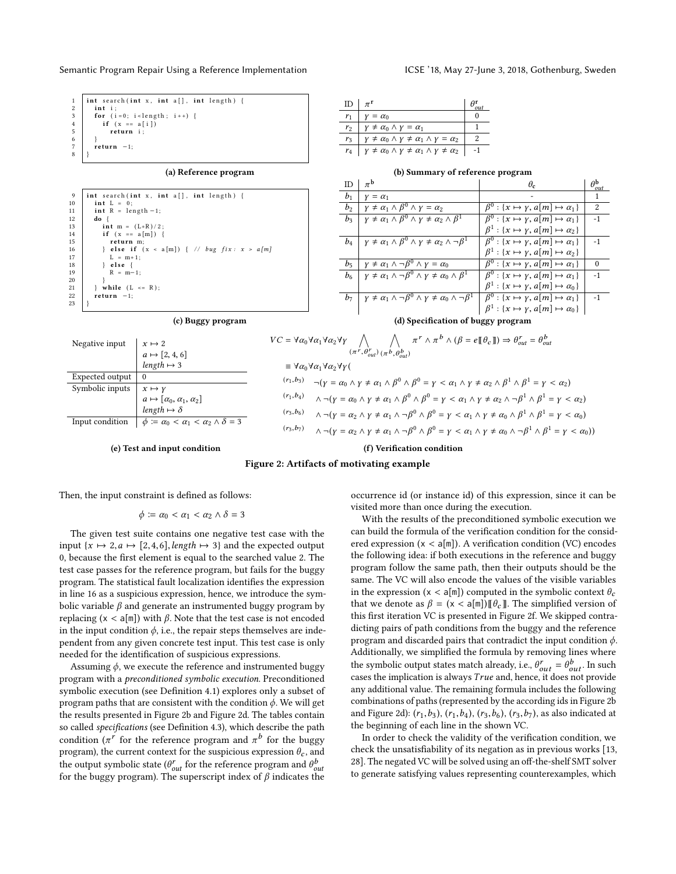| $\mathbf{1}$                              | int search (int x, int $a[]$ , int length) {                                                                                                       |
|-------------------------------------------|----------------------------------------------------------------------------------------------------------------------------------------------------|
| $\mathbf{2}$                              | int i:                                                                                                                                             |
|                                           | for $(i=0; i$                                                                                                                                      |
|                                           |                                                                                                                                                    |
|                                           | 3<br>$\left\{\n \begin{array}{c}\n \text{for } (i=0; i < \text{length}) \\  \text{if } (x == a[i]) \\  \text{return } i; \n \end{array}\n \right.$ |
|                                           |                                                                                                                                                    |
|                                           |                                                                                                                                                    |
|                                           |                                                                                                                                                    |
| $\begin{matrix} 6 \\ 7 \end{matrix}$<br>8 | $return -1;$                                                                                                                                       |

#### (a) Reference program

| $\overline{9}$ | int search (int x, int $a[]$ , int length) {    |
|----------------|-------------------------------------------------|
| 10             | $int L = 0$ :                                   |
| 11             | $int R = length -1$ ;                           |
| 12             | do {                                            |
| 13             | int m = $(L+R)/2$ ;                             |
| 14             | if $(x == a[m])$ {                              |
| 15             | return m:                                       |
| 16             | } else if $(x < a[m])$ { // bug fix: $x > a[m]$ |
| 17             | $L = m+1$ :                                     |
| 18             | $\}$ else {                                     |
| 19             | $R = m-1$ :                                     |
| 20             |                                                 |
| 21             | $\}$ while $(L \le R)$ ;                        |
| 22             | $return -1$ ;                                   |
| 23             |                                                 |

| ID             | $\pi^{\mathrm{r}}$                                                             | $\alpha$ |
|----------------|--------------------------------------------------------------------------------|----------|
| $r_1$          | $Y = \alpha_0$                                                                 |          |
| r <sub>2</sub> | $\gamma \neq \alpha_0 \wedge \gamma = \alpha_1$                                |          |
| r,             | $\gamma \neq \alpha_0 \wedge \gamma \neq \alpha_1 \wedge \gamma = \alpha_2$    |          |
| $r_4$          | $\gamma \neq \alpha_0 \wedge \gamma \neq \alpha_1 \wedge \gamma \neq \alpha_2$ |          |

| ID                                 | $\pi^{\rm b}$                                                                              | $\theta_{c}$                                                 | $\theta_{\underline{out}}^{\mathrm{b}}$ |  |  |
|------------------------------------|--------------------------------------------------------------------------------------------|--------------------------------------------------------------|-----------------------------------------|--|--|
| $b_1$                              | $Y = \alpha_1$                                                                             |                                                              |                                         |  |  |
| b <sub>2</sub>                     | $\gamma \neq \alpha_1 \wedge \beta^0 \wedge \gamma = \alpha_2$                             | $\beta^0$ : { $x \mapsto \gamma$ , $a[m] \mapsto \alpha_1$ } | 2                                       |  |  |
| $b_3$                              | $\gamma \neq \alpha_1 \wedge \beta^0 \wedge \gamma \neq \alpha_2 \wedge \beta^1$           | $\beta^0$ : { $x \mapsto \gamma$ , $a[m] \mapsto \alpha_1$ } | $-1$                                    |  |  |
|                                    |                                                                                            | $\beta^1 : \{x \mapsto \gamma, a[m] \mapsto \alpha_2\}$      |                                         |  |  |
| $b_4$                              | $\gamma \neq \alpha_1 \wedge \beta^0 \wedge \gamma \neq \alpha_2 \wedge \neg \beta^1$      | $\beta^0$ : { $x \mapsto \gamma$ , $a[m] \mapsto \alpha_1$ } | $-1$                                    |  |  |
|                                    |                                                                                            | $\beta^1 : \{x \mapsto \gamma, a[m] \mapsto \alpha_2\}$      |                                         |  |  |
| $b_5$                              | $\gamma \neq \alpha_1 \wedge \neg \beta^0 \wedge \gamma = \alpha_0$                        | $\beta^0$ : { $x \mapsto \gamma$ , $a[m] \mapsto \alpha_1$ } | $\theta$                                |  |  |
| b <sub>6</sub>                     | $\gamma \neq \alpha_1 \wedge \neg \beta^0 \wedge \gamma \neq \alpha_0 \wedge \beta^1$      | $\beta^0$ : { $x \mapsto \gamma$ , $a[m] \mapsto \alpha_1$ } | $-1$                                    |  |  |
|                                    |                                                                                            | $\beta^1 : \{x \mapsto \gamma, a[m] \mapsto \alpha_0\}$      |                                         |  |  |
| $b_7$                              | $\gamma \neq \alpha_1 \wedge \neg \beta^0 \wedge \gamma \neq \alpha_0 \wedge \neg \beta^1$ | $\beta^0$ : { $x \mapsto \gamma$ , $a[m] \mapsto \alpha_1$ } | -1                                      |  |  |
|                                    |                                                                                            | $\beta^1 : \{x \mapsto \gamma, a[m] \mapsto \alpha_0\}$      |                                         |  |  |
| (d) Specification of buggy program |                                                                                            |                                                              |                                         |  |  |

(b) Summary of reference program

#### (c) Buggy program

| Negative input  | $x \mapsto 2$                                                                               |
|-----------------|---------------------------------------------------------------------------------------------|
|                 | $a \mapsto [2, 4, 6]$<br>length $\mapsto 3$                                                 |
|                 |                                                                                             |
| Expected output | $\Omega$                                                                                    |
| Symbolic inputs |                                                                                             |
|                 | $x \mapsto \gamma$<br>$a \mapsto [\alpha_0, \alpha_1, \alpha_2]$<br>$length \mapsto \delta$ |
|                 |                                                                                             |
| Input condition | $\phi \coloneqq \alpha_0 < \alpha_1 < \alpha_2 \wedge \delta = 3$                           |
|                 |                                                                                             |

$$
VC = \forall \alpha_0 \forall \alpha_1 \forall \alpha_2 \forall \gamma \bigwedge_{(\pi^r, \theta_{out}^r) (\pi^b, \theta_{out}^b)} \pi^r \land \pi^b \land (\beta = e[\![\theta_c]\!]) \Rightarrow \theta_{out}^r = \theta_{out}^b
$$

 $(r_1, b_3)$   $\neg(y = \alpha_0 \land y \neq \alpha_1 \land \beta^0 \land \beta^0 = y < \alpha_1 \land y \neq \alpha_2 \land \beta^1 \land \beta^1 = y < \alpha_2)$  $(r_1, b_4) \quad \wedge \neg(\gamma = \alpha_0 \land \gamma \neq \alpha_1 \land \beta^0 \land \beta^0 = \gamma < \alpha_1 \land \gamma \neq \alpha_2 \land \neg \beta^1 \land \beta^1 = \gamma < \alpha_2)$  $(r_3, b_6)$   $\wedge \neg(\gamma = \alpha_2 \land \gamma \neq \alpha_1 \land \neg \beta^0 \land \beta^0 = \gamma < \alpha_1 \land \gamma \neq \alpha_0 \land \beta^1 \land \beta^1 = \gamma < \alpha_0)$  $(r_3, b_7)$   $\wedge \neg(y = \alpha_2 \wedge y \neq \alpha_1 \wedge \neg \beta^0 \wedge \beta^0 = y < \alpha_1 \wedge y \neq \alpha_0 \wedge \neg \beta^1 \wedge \beta^1 = y < \alpha_0$ )

#### (e) Test and input condition

(f) Verification condition

# Figure 2: Artifacts of motivating example

 $\equiv \forall \alpha_0 \forall \alpha_1 \forall \alpha_2 \forall \gamma$ (

Then, the input constraint is defined as follows:

$$
\phi\coloneqq\alpha_0<\alpha_1<\alpha_2\wedge\delta=3
$$

The given test suite contains one negative test case with the input { $x \mapsto 2$ ,  $a \mapsto [2, 4, 6]$ , length  $\mapsto 3$ } and the expected output 0, because the first element is equal to the searched value 2. The test case passes for the reference program, but fails for the buggy program. The statistical fault localization identifies the expression in line 16 as a suspicious expression, hence, we introduce the symbolic variable  $\beta$  and generate an instrumented buggy program by replacing (x < a[m]) with  $β$ . Note that the test case is not encoded in the input condition  $\phi$ , i.e., the repair steps themselves are independent from any given concrete test input. This test case is only needed for the identification of suspicious expressions.

Assuming  $\phi$ , we execute the reference and instrumented buggy program with a preconditioned symbolic execution. Preconditioned symbolic execution (see Definition 4.1) explores only a subset of program paths that are consistent with the condition  $\phi$ . We will get the results presented in Figure 2b and Figure 2d. The tables contain so called specifications (see Definition 4.3), which describe the path condition ( $\pi^r$  for the reference program and  $\pi^b$  for the buggy program), the current context for the suspicious expression  $\theta_c$ , and the output symbolic state ( $\theta_{out}^r$  for the reference program and  $\theta_{out}^b$ for the buggy program). The superscript index of  $\beta$  indicates the

occurrence id (or instance id) of this expression, since it can be visited more than once during the execution.

With the results of the preconditioned symbolic execution we can build the formula of the verification condition for the considered expression  $(x < a[m])$ . A verification condition (VC) encodes the following idea: if both executions in the reference and buggy program follow the same path, then their outputs should be the same. The VC will also encode the values of the visible variables in the expression (x < a[m]) computed in the symbolic context  $\theta_c$ that we denote as  $\beta = (x < a[m])[[\theta_c]]$ . The simplified version of this first iteration VC is presented in Figure 2f. We skipped contradicting pairs of path conditions from the buggy and the reference program and discarded pairs that contradict the input condition  $\phi$ . Additionally, we simplified the formula by removing lines where the symbolic output states match already, i.e.,  $\theta_{out}^r = \theta_{out}^b$ . In such cases the implication is always  $True$  and, hence, it does not provide any additional value. The remaining formula includes the following combinations of paths (represented by the according ids in Figure 2b and Figure 2d):  $(r_1,b_3)$ ,  $(r_1,b_4)$ ,  $(r_3,b_6)$ ,  $(r_3,b_7)$ , as also indicated at the beginning of each line in the shown VC.

In order to check the validity of the verification condition, we check the unsatisfiability of its negation as in previous works [13, 28]. The negated VC will be solved using an off-the-shelf SMT solver to generate satisfying values representing counterexamples, which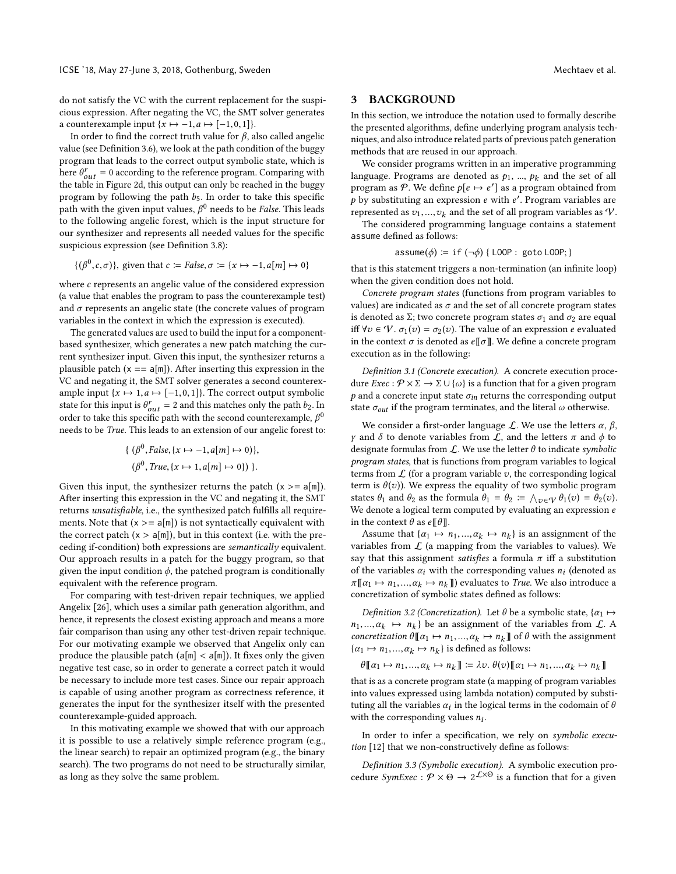do not satisfy the VC with the current replacement for the suspicious expression. After negating the VC, the SMT solver generates a counterexample input  $\{x \mapsto -1, a \mapsto [-1,0,1]\}.$ 

In order to find the correct truth value for  $\beta$ , also called angelic value (see Definition 3.6), we look at the path condition of the buggy program that leads to the correct output symbolic state, which is here  $\theta_{out}^r = 0$  according to the reference program. Comparing with the table in Figure 2d, this output can only be reached in the buggy program by following the path  $b_5$ . In order to take this specific path with the given input values,  $\beta^0$  needs to be False. This leads to the following angelic forest, which is the input structure for our synthesizer and represents all needed values for the specific suspicious expression (see Definition 3.8):

$$
\{(\beta^0, c, \sigma)\}\
$$
, given that  $c := False, \sigma := \{x \mapsto -1, a[m] \mapsto 0\}$ 

where c represents an angelic value of the considered expression (a value that enables the program to pass the counterexample test) and  $\sigma$  represents an angelic state (the concrete values of program variables in the context in which the expression is executed).

The generated values are used to build the input for a componentbased synthesizer, which generates a new patch matching the current synthesizer input. Given this input, the synthesizer returns a plausible patch  $(x == a[m])$ . After inserting this expression in the VC and negating it, the SMT solver generates a second counterexample input { $x \mapsto 1, a \mapsto [-1,0,1]$ }. The correct output symbolic state for this input is  $\theta_{out}^r = 2$  and this matches only the path  $b_2$ . In order to take this specific path with the second counterexample,  $\beta^0$ needs to be True. This leads to an extension of our angelic forest to:

$$
\{ (\beta^0, False, \{x \mapsto -1, a[m] \mapsto 0) \},\
$$

$$
(\beta^0, True, \{x \mapsto 1, a[m] \mapsto 0 \}) \}.
$$

Given this input, the synthesizer returns the patch  $(x \ge a[m])$ . After inserting this expression in the VC and negating it, the SMT returns unsatisfiable, i.e., the synthesized patch fulfills all requirements. Note that  $(x \ge a[m])$  is not syntactically equivalent with the correct patch  $(x > a[m])$ , but in this context (i.e. with the preceding if-condition) both expressions are semantically equivalent. Our approach results in a patch for the buggy program, so that given the input condition  $\phi$ , the patched program is conditionally equivalent with the reference program.

For comparing with test-driven repair techniques, we applied Angelix [26], which uses a similar path generation algorithm, and hence, it represents the closest existing approach and means a more fair comparison than using any other test-driven repair technique. For our motivating example we observed that Angelix only can produce the plausible patch  $(a[m] < a[m])$ . It fixes only the given negative test case, so in order to generate a correct patch it would be necessary to include more test cases. Since our repair approach is capable of using another program as correctness reference, it generates the input for the synthesizer itself with the presented counterexample-guided approach.

In this motivating example we showed that with our approach it is possible to use a relatively simple reference program (e.g., the linear search) to repair an optimized program (e.g., the binary search). The two programs do not need to be structurally similar, as long as they solve the same problem.

#### 3 BACKGROUND

In this section, we introduce the notation used to formally describe the presented algorithms, define underlying program analysis techniques, and also introduce related parts of previous patch generation methods that are reused in our approach.

We consider programs written in an imperative programming language. Programs are denoted as  $p_1$ , ...,  $p_k$  and the set of all program as P. We define  $p[e \mapsto e']$  as a program obtained from  $\hat{p}$  by substituting an expression e with e'. Program variables are represented as  $v_1, ..., v_k$  and the set of all program variables as  $\mathcal{V}$ .

The considered programming language contains a statement assume defined as follows:

$$
\mathsf{assume}(\phi) \coloneqq \mathsf{if}(\neg \phi) \{ \mathsf{LOOP} : \mathsf{goto}\ \mathsf{LOOP} \}
$$

that is this statement triggers a non-termination (an infinite loop) when the given condition does not hold.

Concrete program states (functions from program variables to values) are indicated as  $\sigma$  and the set of all concrete program states is denoted as  $\Sigma$ ; two concrete program states  $\sigma_1$  and  $\sigma_2$  are equal iff  $\forall v \in \mathcal{V}$ .  $\sigma_1(v) = \sigma_2(v)$ . The value of an expression e evaluated in the context  $\sigma$  is denoted as  $e \llbracket \sigma \rrbracket$ . We define a concrete program execution as in the following:

Definition 3.1 (Concrete execution). A concrete execution procedure  $Exec : \mathcal{P} \times \Sigma \rightarrow \Sigma \cup \{\omega\}$  is a function that for a given program  $p$  and a concrete input state  $\sigma_{in}$  returns the corresponding output state  $\sigma_{out}$  if the program terminates, and the literal  $\omega$  otherwise.

We consider a first-order language  $\mathcal{L}$ . We use the letters  $\alpha$ ,  $\beta$ , γ and δ to denote variables from  $\mathcal{L}$ , and the letters  $\pi$  and  $\phi$  to designate formulas from  $\mathcal{L}$ . We use the letter  $\theta$  to indicate symbolic program states, that is functions from program variables to logical terms from  $\mathcal L$  (for a program variable  $v$ , the corresponding logical term is  $\theta(v)$ ). We express the equality of two symbolic program states  $\theta_1$  and  $\theta_2$  as the formula  $\theta_1 = \theta_2 := \bigwedge_{v \in V} \theta_1(v) = \theta_2(v)$ .<br>We denote a logical term computed by evaluating an expression equal We denote a logical term computed by evaluating an expression  $e$ in the context  $\theta$  as  $e \llbracket \theta \rrbracket$ .

Assume that  $\{\alpha_1 \mapsto n_1, ..., \alpha_k \mapsto n_k\}$  is an assignment of the raibles from  $f$  (a manning from the variables to values) We variables from  $\mathcal L$  (a mapping from the variables to values). We say that this assignment satisfies a formula  $\pi$  iff a substitution of the variables  $\alpha_i$  with the corresponding values  $n_i$  (denoted as  $\pi$ [[ $\alpha_1 \mapsto n_1,..., \alpha_k \mapsto n_k$ ]] evaluates to *True*. We also introduce a concretization of symbolic states defined as followe: concretization of symbolic states defined as follows:

Definition 3.2 (Concretization). Let  $\theta$  be a symbolic state, { $\alpha_1 \mapsto$  $n_1, ..., \alpha_k \mapsto n_k$  be an assignment of the variables from  $\mathcal{L}$ . A concretization  $\theta \mathbb{I} \alpha_k \mapsto n_k \alpha_k \mapsto n_k \mathbb{I}$  of  $\theta$  with the assignment concretization  $\theta$  [[ $\alpha_1 \mapsto n_1, ..., \alpha_k \mapsto n_k$ ]] of  $\theta$  with the assignment  $\{\alpha_1 \mapsto n_1, ..., \alpha_k \mapsto n_k\}$  is defined as follows:

 $\theta[\![\alpha_1 \mapsto n_1, ..., \alpha_k \mapsto n_k]\!] \coloneqq \lambda v. \quad \theta(v)[\![\alpha_1 \mapsto n_1, ..., \alpha_k \mapsto n_k]\!]$ 

that is as a concrete program state (a mapping of program variables into values expressed using lambda notation) computed by substituting all the variables  $\alpha_i$  in the logical terms in the codomain of  $\theta$ with the corresponding values  $n_i$ .

In order to infer a specification, we rely on symbolic execution [12] that we non-constructively define as follows:

Definition 3.3 (Symbolic execution). A symbolic execution procedure  $SymExec : \mathcal{P} \times \Theta \rightarrow 2^{\mathcal{L} \times \Theta}$  is a function that for a given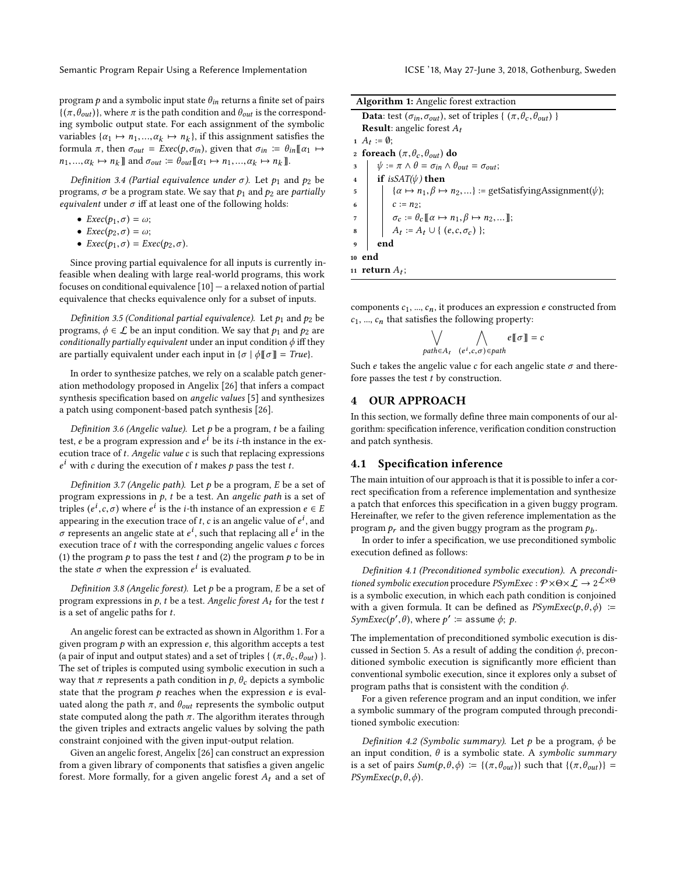program  $p$  and a symbolic input state  $\theta_{in}$  returns a finite set of pairs  $\{(\pi, \theta_{out})\}$ , where  $\pi$  is the path condition and  $\theta_{out}$  is the corresponding symbolic output state. For each assignment of the symbolic variables  $\{\alpha_1 \mapsto n_1, ..., \alpha_k \mapsto n_k\}$ , if this assignment satisfies the formula  $\pi$ , then  $\pi_{\alpha+1} = \text{Free}(h, \pi)$ , given that  $\pi_{\alpha+1} = \theta \cdot \mathbb{F}\alpha_{\alpha+1}$ . formula  $\pi$ , then  $\sigma_{out} = E \text{xec}(p, \sigma_{in})$ , given that  $\sigma_{in} := \theta_{in} [\alpha_1 \rightarrow \alpha_2]$  $n_1, ..., \alpha_k \mapsto n_k \mathbb{I}$  and  $\sigma_{out} := \hat{\theta}_{out} [\alpha_1 \mapsto n_1, ..., \alpha_k \mapsto n_k \mathbb{I}].$ 

Definition 3.4 (Partial equivalence under  $\sigma$ ). Let  $p_1$  and  $p_2$  be programs,  $\sigma$  be a program state. We say that  $p_1$  and  $p_2$  are partially equivalent under  $\sigma$  iff at least one of the following holds:

- $Exec(p_1, \sigma) = \omega;$
- $Exec(p_2, \sigma) = \omega;$
- $Exec(p_1, \sigma) =Exec(p_2, \sigma)$ .

Since proving partial equivalence for all inputs is currently infeasible when dealing with large real-world programs, this work focuses on conditional equivalence  $[10]$  — a relaxed notion of partial equivalence that checks equivalence only for a subset of inputs.

Definition 3.5 (Conditional partial equivalence). Let  $p_1$  and  $p_2$  be programs,  $\phi \in \mathcal{L}$  be an input condition. We say that  $p_1$  and  $p_2$  are conditionally partially equivalent under an input condition  $\phi$  iff they are partially equivalent under each input in  $\{\sigma \mid \phi \llbracket \sigma \rrbracket = \text{True}\}.$ 

In order to synthesize patches, we rely on a scalable patch generation methodology proposed in Angelix [26] that infers a compact synthesis specification based on angelic values [5] and synthesizes a patch using component-based patch synthesis [26].

Definition 3.6 (Angelic value). Let  $p$  be a program,  $t$  be a failing test,  $e$  be a program expression and  $e^i$  be its *i*-th instance in the execution trace of t. Angelic value c is such that replacing expressions  $e^{i}$  with c during the execution of t makes p pass the test t.

Definition 3.7 (Angelic path). Let  $p$  be a program, E be a set of program expressions in  $p$ ,  $t$  be a test. An *angelic path* is a set of triples  $(e^i, c, \sigma)$  where  $e^i$  is the *i*-th instance of an expression  $e \in E$ <br>appearing in the execution trace of t, c is an angelic value of  $e^i$  and appearing in the execution trace of  $t$ ,  $c$  is an angelic value of  $e^{i}$ , and σ represents an angelic state at  $e^i$ , such that replacing all  $e^i$  in the execution trace of  $t$  with the corresponding angelic values  $c$  forces (1) the program  $p$  to pass the test  $t$  and (2) the program  $p$  to be in the state  $\sigma$  when the expression  $e^i$  is evaluated.

Definition 3.8 (Angelic forest). Let  $p$  be a program,  $E$  be a set of program expressions in  $p$ , t be a test. Angelic forest  $A_t$  for the test t is a set of angelic paths for  $t$ .

An angelic forest can be extracted as shown in Algorithm 1. For a given program  $p$  with an expression  $e$ , this algorithm accepts a test (a pair of input and output states) and a set of triples {  $(\pi, \theta_c, \theta_{out})$  }. The set of triples is computed using symbolic execution in such a way that  $\pi$  represents a path condition in  $p$ ,  $\theta_c$  depicts a symbolic state that the program  $p$  reaches when the expression  $e$  is evaluated along the path  $\pi$ , and  $\theta_{out}$  represents the symbolic output state computed along the path  $\pi$ . The algorithm iterates through the given triples and extracts angelic values by solving the path constraint conjoined with the given input-output relation.

Given an angelic forest, Angelix [26] can construct an expression from a given library of components that satisfies a given angelic forest. More formally, for a given angelic forest  $A_t$  and a set of

| <b>Algorithm 1:</b> Angelic forest extraction                                                                                                                                                                                                    |  |  |  |  |
|--------------------------------------------------------------------------------------------------------------------------------------------------------------------------------------------------------------------------------------------------|--|--|--|--|
| <b>Data:</b> test $(\sigma_{in}, \sigma_{out})$ , set of triples { $(\pi, \theta_c, \theta_{out})$ }                                                                                                                                             |  |  |  |  |
| <b>Result:</b> angelic forest $A_t$                                                                                                                                                                                                              |  |  |  |  |
| 1 $A_t := \emptyset$ ;                                                                                                                                                                                                                           |  |  |  |  |
| 2 foreach $(\pi, \theta_c, \theta_{out})$ do                                                                                                                                                                                                     |  |  |  |  |
| $\psi := \pi \wedge \theta = \sigma_{in} \wedge \theta_{out} = \sigma_{out};$<br>3                                                                                                                                                               |  |  |  |  |
| <b>if</b> is $SAT(\psi)$ then<br>$\overline{4}$                                                                                                                                                                                                  |  |  |  |  |
| $\{\alpha \mapsto n_1, \beta \mapsto n_2, \}$ := getSatisfyingAssignment( $\psi$ );<br>5                                                                                                                                                         |  |  |  |  |
| $\overline{6}$                                                                                                                                                                                                                                   |  |  |  |  |
| $\overline{7}$                                                                                                                                                                                                                                   |  |  |  |  |
| $\begin{array}{c} \begin{array}{c} \begin{array}{c} \ \\ \end{array} & c := n_2; \\ \sigma_c := \theta_c [\![ \alpha \mapsto n_1, \beta \mapsto n_2, \dots ]\!], \\ A_t := A_t \cup \{ (e, c, \sigma_c) \}; \end{array} \end{array}$<br>$\bf{8}$ |  |  |  |  |
| end<br>$\boldsymbol{9}$                                                                                                                                                                                                                          |  |  |  |  |
| 10 end                                                                                                                                                                                                                                           |  |  |  |  |
| 11 <b>return</b> $A_t$ ;                                                                                                                                                                                                                         |  |  |  |  |

components  $c_1$ , ...,  $c_n$ , it produces an expression e constructed from  $c_1$ , ...,  $c_n$  that satisfies the following property:

$$
\bigvee_{\text{path}\in A_t} \bigwedge_{(e^i,c,\sigma)\in \text{path}} e[\![\sigma]\!]= c
$$

Such e takes the angelic value c for each angelic state  $\sigma$  and therefore passes the test  $t$  by construction.

## 4 OUR APPROACH

In this section, we formally define three main components of our algorithm: specification inference, verification condition construction and patch synthesis.

#### 4.1 Specification inference

The main intuition of our approach is that it is possible to infer a correct specification from a reference implementation and synthesize a patch that enforces this specification in a given buggy program. Hereinafter, we refer to the given reference implementation as the program  $p_r$  and the given buggy program as the program  $p_b$ .

In order to infer a specification, we use preconditioned symbolic execution defined as follows:

Definition 4.1 (Preconditioned symbolic execution). A preconditioned symbolic execution procedure  $PSymExec : \mathcal{P} \times \Theta \times \mathcal{L} \rightarrow 2^{\mathcal{L} \times \Theta}$ <br>is a symbolic execution in which each path condition is conjoined is a symbolic execution, in which each path condition is conjoined with a given formula. It can be defined as  $PSymExec(p, \theta, \phi)$  :=  $SymExec(p', \theta)$ , where  $p' \coloneqq \text{assume } \phi; p$ .

The implementation of preconditioned symbolic execution is discussed in Section 5. As a result of adding the condition  $\phi$ , preconditioned symbolic execution is significantly more efficient than conventional symbolic execution, since it explores only a subset of program paths that is consistent with the condition  $\phi$ .

For a given reference program and an input condition, we infer a symbolic summary of the program computed through preconditioned symbolic execution:

Definition 4.2 (Symbolic summary). Let p be a program,  $\phi$  be an input condition,  $\theta$  is a symbolic state. A symbolic summary is a set of pairs  $Sum(p, \theta, \phi) := \{(\pi, \theta_{out})\}$  such that  $\{(\pi, \theta_{out})\}$  =  $PSymExec(p, \theta, \phi)$ .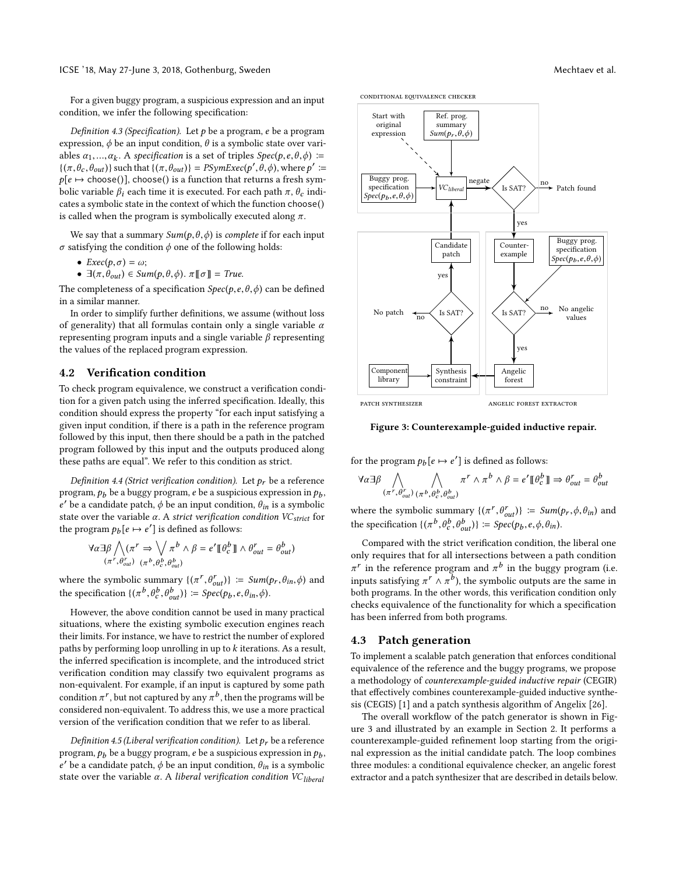For a given buggy program, a suspicious expression and an input condition, we infer the following specification:

Definition 4.3 (Specification). Let  $p$  be a program, e be a program expression,  $\phi$  be an input condition,  $\theta$  is a symbolic state over variables  $\alpha_1, ..., \alpha_k$ . A specification is a set of triples  $Spec(p, e, \theta, \phi) :=$ <br> $\alpha \in \mathbb{R}^d$  (a) such that  $\alpha \in \mathbb{R}^d$  (b)  $\alpha \in \mathbb{R}^d$  (c)  $\alpha \in \mathbb{R}^d$  (c) where  $\alpha'$  $\{(\pi, \theta_c, \theta_{out})\}$  such that  $\{(\pi, \theta_{out})\} = P\text{SymExec}(p', \theta, \phi)$ , where  $p' :=$ <br> $p(e) \ge \text{chose}(p')$ , choose() is a function that returns a fresh sym $p[e \mapsto \text{choose}()]$ , choose() is a function that returns a fresh symbolic variable  $\beta_i$  each time it is executed. For each path  $\pi$ ,  $\theta_c$  indicates a symbolic state in the context of which the function choose() is called when the program is symbolically executed along  $\pi$ .

We say that a summary  $Sum(p, \theta, \phi)$  is *complete* if for each input  $\sigma$  satisfying the condition  $\phi$  one of the following holds:

- $Exec(p, \sigma) = \omega;$
- $\exists (\pi, \theta_{out}) \in Sum(p, \theta, \phi)$ .  $\pi[\![\sigma]\!] = True$ .

The completeness of a specification  $Spec(p, e, \theta, \phi)$  can be defined in a similar manner.

In order to simplify further definitions, we assume (without loss of generality) that all formulas contain only a single variable  $\alpha$ representing program inputs and a single variable  $β$  representing the values of the replaced program expression.

#### 4.2 Verification condition

To check program equivalence, we construct a verification condition for a given patch using the inferred specification. Ideally, this condition should express the property "for each input satisfying a given input condition, if there is a path in the reference program followed by this input, then there should be a path in the patched program followed by this input and the outputs produced along these paths are equal". We refer to this condition as strict.

Definition 4.4 (Strict verification condition). Let  $p_r$  be a reference program,  $p_b$  be a buggy program,  $e$  be a suspicious expression in  $p_b,$ e' be a candidate patch,  $\phi$  be an input condition,  $\theta_{in}$  is a symbolic state over the variable  $\alpha$ . A strict verification condition VC<sub>strict</sub> for the program  $p_b[e \mapsto e']$  is defined as follows:

$$
\forall \alpha \exists \beta \bigwedge (\pi^r \Rightarrow \bigvee_{\alpha \in \beta} \pi^b \land \beta = e' \llbracket \theta_c^b \rrbracket \land \theta_{out}^r = \theta_{out}^b)
$$
  

$$
(\pi^r, \theta_{out}^r) \quad (\pi^b, \theta_c^b, \theta_{out}^b)
$$

where the symbolic summary  $\{(\pi^r, \theta^r_{out})\} := Sum(p_r, \theta_{in}, \phi)$  and the specification  $\{(\pi^b, \theta_c^b, \theta_{out}^b)\}$  :=  $Spec(p_b, e, \theta_{in}, \phi)$ .

However, the above condition cannot be used in many practical situations, where the existing symbolic execution engines reach their limits. For instance, we have to restrict the number of explored paths by performing loop unrolling in up to  $k$  iterations. As a result, the inferred specification is incomplete, and the introduced strict verification condition may classify two equivalent programs as non-equivalent. For example, if an input is captured by some path condition  $\pi^r$  , but not captured by any  $\pi^b$  , then the programs will be considered non-equivalent. To address this, we use a more practical version of the verification condition that we refer to as liberal.

Definition 4.5 (Liberal verification condition). Let  $p_r$  be a reference program,  $p_b$  be a buggy program,  $e$  be a suspicious expression in  $p_b$ ,  $e'$  be a candidate patch,  $\phi$  be an input condition,  $\theta_{in}$  is a symbolic state over the variable  $\alpha$ . A liberal verification condition VC<sub>liberal</sub>







Figure 3: Counterexample-guided inductive repair.

for the program  $p_b[e \mapsto e']$  is defined as follows:

$$
\forall \alpha \exists \beta \bigwedge_{(\pi^r, \theta_{out}^r) (\pi^b, \theta_c^b, \theta_{out}^b)} \pi^r \wedge \pi^b \wedge \beta = e' \mathbb{I} \theta_c^b \mathbb{I} \Rightarrow \theta_{out}^r = \theta_{out}^b
$$

where the symbolic summary  $\{(\pi^r, \theta^r_{out})\} := Sum(p_r, \phi, \theta_{in})$  and the specification  $\{(\pi^b, \theta_c^b, \theta_{out}^b)\}$  :=  $Spec(p_b, e, \phi, \theta_{in})$ .

Compared with the strict verification condition, the liberal one only requires that for all intersections between a path condition  $\pi^r$  in the reference program and  $\pi^b$  in the buggy program (i.e. inputs satisfying  $\pi^r \wedge \pi^b$ ), the symbolic outputs are the same in both programs. In the other words, this verification condition only checks equivalence of the functionality for which a specification has been inferred from both programs.

#### 4.3 Patch generation

To implement a scalable patch generation that enforces conditional equivalence of the reference and the buggy programs, we propose a methodology of counterexample-guided inductive repair (CEGIR) that effectively combines counterexample-guided inductive synthesis (CEGIS) [1] and a patch synthesis algorithm of Angelix [26].

The overall workflow of the patch generator is shown in Figure 3 and illustrated by an example in Section 2. It performs a counterexample-guided refinement loop starting from the original expression as the initial candidate patch. The loop combines three modules: a conditional equivalence checker, an angelic forest extractor and a patch synthesizer that are described in details below.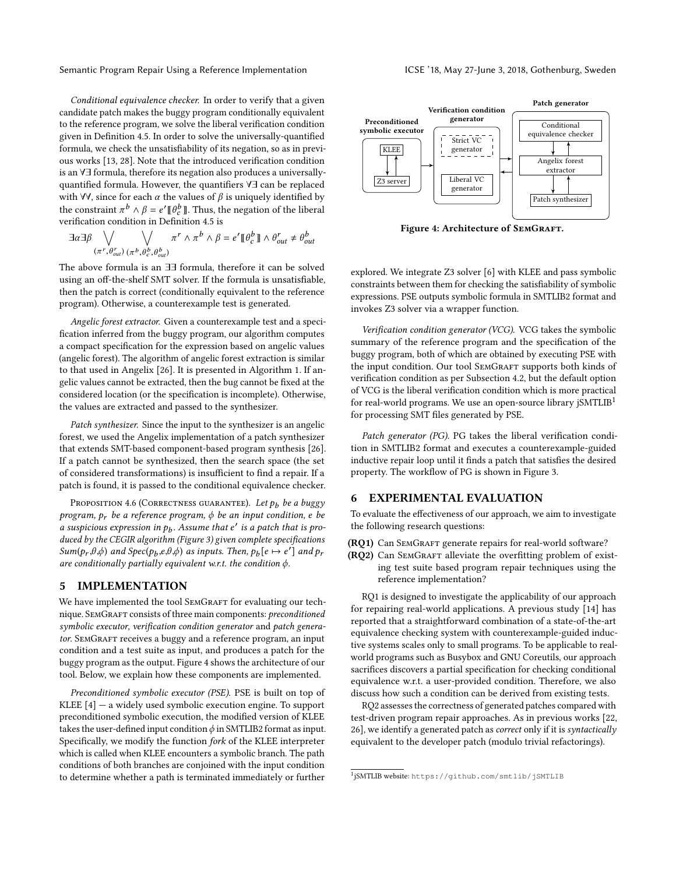Conditional equivalence checker. In order to verify that a given candidate patch makes the buggy program conditionally equivalent to the reference program, we solve the liberal verification condition given in Definition 4.5. In order to solve the universally-quantified formula, we check the unsatisfiability of its negation, so as in previous works [13, 28]. Note that the introduced verification condition is an ∀∃ formula, therefore its negation also produces a universallyquantified formula. However, the quantifiers ∀∃ can be replaced with  $\forall \forall$ , since for each  $\alpha$  the values of  $\beta$  is uniquely identified by the constraint  $\pi^b \wedge \beta = e' \llbracket \theta_c^b \rrbracket$ . Thus, the negation of the liberal verification condition in Definition 4.5 is

$$
\exists \alpha \exists \beta \bigvee_{(\pi^r, \theta_{out}^r) (\pi^b, \theta_c^b, \theta_{out}^b)} \pi^r \wedge \pi^b \wedge \beta = e' \llbracket \theta_c^b \rrbracket \wedge \theta_{out}^r \neq \theta_{out}^b
$$

The above formula is an ∃∃ formula, therefore it can be solved using an off-the-shelf SMT solver. If the formula is unsatisfiable, then the patch is correct (conditionally equivalent to the reference program). Otherwise, a counterexample test is generated.

Angelic forest extractor. Given a counterexample test and a specification inferred from the buggy program, our algorithm computes a compact specification for the expression based on angelic values (angelic forest). The algorithm of angelic forest extraction is similar to that used in Angelix [26]. It is presented in Algorithm 1. If angelic values cannot be extracted, then the bug cannot be fixed at the considered location (or the specification is incomplete). Otherwise, the values are extracted and passed to the synthesizer.

Patch synthesizer. Since the input to the synthesizer is an angelic forest, we used the Angelix implementation of a patch synthesizer that extends SMT-based component-based program synthesis [26]. If a patch cannot be synthesized, then the search space (the set of considered transformations) is insufficient to find a repair. If a patch is found, it is passed to the conditional equivalence checker.

PROPOSITION 4.6 (CORRECTNESS GUARANTEE). Let  $p_b$  be a buggy program,  $p_r$  be a reference program,  $\phi$  be an input condition, e be a suspicious expression in  $p_b$ . Assume that  $e'$  is a patch that is produced by the CEGIR algorithm (Figure 3) given complete specifications  $Sum(p_r, \theta, \phi)$  and  $Spec(p_b, e, \theta, \phi)$  as inputs. Then,  $p_b[e \rightarrow e']$  and  $p_r$ are conditionally partially equivalent w.r.t. the condition  $\phi$ .

#### 5 IMPLEMENTATION

We have implemented the tool SEMGRAFT for evaluating our technique. SEMGRAFT consists of three main components: preconditioned symbolic executor, verification condition generator and patch generator. SEMGRAFT receives a buggy and a reference program, an input condition and a test suite as input, and produces a patch for the buggy program as the output. Figure 4 shows the architecture of our tool. Below, we explain how these components are implemented.

Preconditioned symbolic executor (PSE). PSE is built on top of KLEE  $[4]$  – a widely used symbolic execution engine. To support preconditioned symbolic execution, the modified version of KLEE takes the user-defined input condition  $\phi$  in SMTLIB2 format as input. Specifically, we modify the function fork of the KLEE interpreter which is called when KLEE encounters a symbolic branch. The path conditions of both branches are conjoined with the input condition to determine whether a path is terminated immediately or further



Figure 4: Architecture of SEMGRAFT.

explored. We integrate Z3 solver [6] with KLEE and pass symbolic constraints between them for checking the satisfiability of symbolic expressions. PSE outputs symbolic formula in SMTLIB2 format and invokes Z3 solver via a wrapper function.

Verification condition generator (VCG). VCG takes the symbolic summary of the reference program and the specification of the buggy program, both of which are obtained by executing PSE with the input condition. Our tool SEMGRAFT supports both kinds of verification condition as per Subsection 4.2, but the default option of VCG is the liberal verification condition which is more practical for real-world programs. We use an open-source library jSMTLIB<sup>1</sup> for processing SMT files generated by PSE.

Patch generator (PG). PG takes the liberal verification condition in SMTLIB2 format and executes a counterexample-guided inductive repair loop until it finds a patch that satisfies the desired property. The workflow of PG is shown in Figure 3.

## 6 EXPERIMENTAL EVALUATION

To evaluate the effectiveness of our approach, we aim to investigate the following research questions:

(RQ1) Can SEMGRAFT generate repairs for real-world software?

(RQ2) Can SEMGRAFT alleviate the overfitting problem of existing test suite based program repair techniques using the reference implementation?

RQ1 is designed to investigate the applicability of our approach for repairing real-world applications. A previous study [14] has reported that a straightforward combination of a state-of-the-art equivalence checking system with counterexample-guided inductive systems scales only to small programs. To be applicable to realworld programs such as Busybox and GNU Coreutils, our approach sacrifices discovers a partial specification for checking conditional equivalence w.r.t. a user-provided condition. Therefore, we also discuss how such a condition can be derived from existing tests.

RQ2 assesses the correctness of generated patches compared with test-driven program repair approaches. As in previous works [22, 26], we identify a generated patch as correct only if it is syntactically equivalent to the developer patch (modulo trivial refactorings).

<sup>1</sup> jSMTLIB website: https://github.com/smtlib/jSMTLIB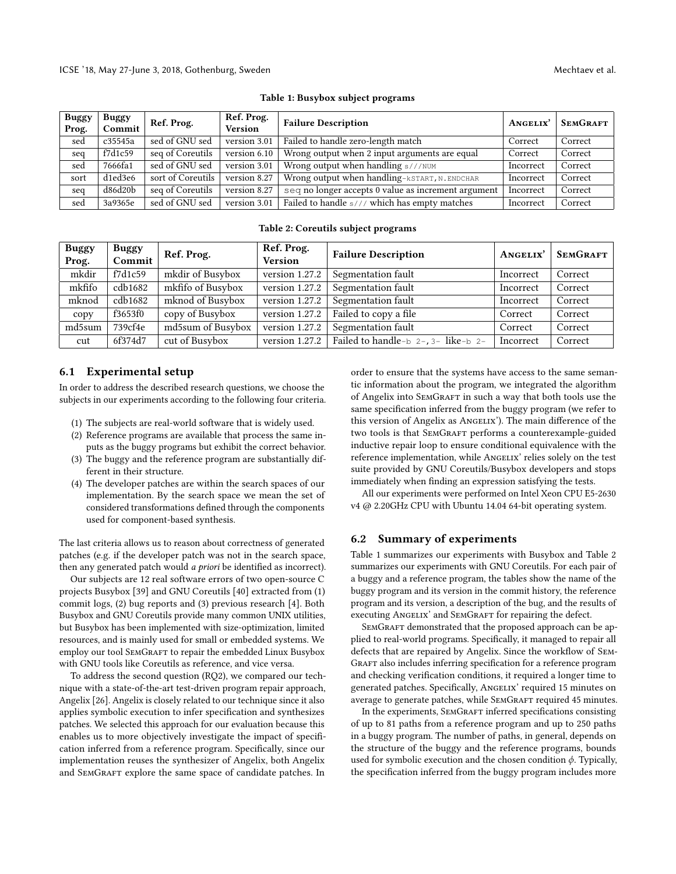| <b>Buggy</b><br>Prog. | <b>Buggy</b><br>Commit | Ref. Prog.        | Ref. Prog.<br><b>Version</b> | <b>Failure Description</b>                          | ANGELIX'  | <b>SEMGRAFT</b> |
|-----------------------|------------------------|-------------------|------------------------------|-----------------------------------------------------|-----------|-----------------|
| sed                   | c35545a                | sed of GNU sed    | version 3.01                 | Failed to handle zero-length match                  | Correct   | Correct         |
| seq                   | f7d1c59                | seq of Coreutils  | version 6.10                 | Wrong output when 2 input arguments are equal       | Correct   | Correct         |
| sed                   | 7666fa1                | sed of GNU sed    | version 3.01                 | Wrong output when handling s///NUM                  | Incorrect | Correct         |
| sort                  | d1ed3e6                | sort of Coreutils | version 8.27                 | Wrong output when handling-KSTART, N. ENDCHAR       | Incorrect | Correct         |
| seq                   | d86d20b                | seq of Coreutils  | version 8.27                 | seq no longer accepts 0 value as increment argument | Incorrect | Correct         |
| sed                   | 3a9365e                | sed of GNU sed    | version 3.01                 | Failed to handle $s///$ which has empty matches     | Incorrect | Correct         |

Table 1: Busybox subject programs

Table 2: Coreutils subject programs

| <b>Buggy</b><br>Prog. | <b>Buggy</b><br>Commit | Ref. Prog.        | Ref. Prog.<br><b>Version</b> | <b>Failure Description</b>                    | ANGELIX'  | <b>SEMGRAFT</b> |
|-----------------------|------------------------|-------------------|------------------------------|-----------------------------------------------|-----------|-----------------|
| mkdir                 | f7d1c59                | mkdir of Busybox  | version 1.27.2               | Segmentation fault                            | Incorrect | Correct         |
| mkfifo                | cdb1682                | mkfifo of Busybox | version 1.27.2               | Segmentation fault                            | Incorrect | Correct         |
| mknod                 | cdb1682                | mknod of Busybox  | version 1.27.2               | Segmentation fault                            | Incorrect | Correct         |
| copy                  | f3653f0                | copy of Busybox   | version 1.27.2               | Failed to copy a file                         | Correct   | Correct         |
| md5sum                | 739cf4e                | md5sum of Busybox | version 1.27.2               | Segmentation fault                            | Correct   | Correct         |
| cut                   | 6f374d7                | cut of Busybox    | version 1.27.2               | Failed to handle-b $2 -$ , $3 -$ like-b $2 -$ | Incorrect | Correct         |

#### 6.1 Experimental setup

In order to address the described research questions, we choose the subjects in our experiments according to the following four criteria.

- (1) The subjects are real-world software that is widely used.
- (2) Reference programs are available that process the same inputs as the buggy programs but exhibit the correct behavior.
- (3) The buggy and the reference program are substantially different in their structure.
- (4) The developer patches are within the search spaces of our implementation. By the search space we mean the set of considered transformations defined through the components used for component-based synthesis.

The last criteria allows us to reason about correctness of generated patches (e.g. if the developer patch was not in the search space, then any generated patch would a priori be identified as incorrect).

Our subjects are 12 real software errors of two open-source C projects Busybox [39] and GNU Coreutils [40] extracted from (1) commit logs, (2) bug reports and (3) previous research [4]. Both Busybox and GNU Coreutils provide many common UNIX utilities, but Busybox has been implemented with size-optimization, limited resources, and is mainly used for small or embedded systems. We employ our tool SEMGRAFT to repair the embedded Linux Busybox with GNU tools like Coreutils as reference, and vice versa.

To address the second question (RQ2), we compared our technique with a state-of-the-art test-driven program repair approach, Angelix [26]. Angelix is closely related to our technique since it also applies symbolic execution to infer specification and synthesizes patches. We selected this approach for our evaluation because this enables us to more objectively investigate the impact of specification inferred from a reference program. Specifically, since our implementation reuses the synthesizer of Angelix, both Angelix and SEMGRAFT explore the same space of candidate patches. In

order to ensure that the systems have access to the same semantic information about the program, we integrated the algorithm of Angelix into SEMGRAFT in such a way that both tools use the same specification inferred from the buggy program (we refer to this version of Angelix as Angelix'). The main difference of the two tools is that SEMGRAFT performs a counterexample-guided inductive repair loop to ensure conditional equivalence with the reference implementation, while ANGELIX' relies solely on the test suite provided by GNU Coreutils/Busybox developers and stops immediately when finding an expression satisfying the tests.

All our experiments were performed on Intel Xeon CPU E5-2630 v4 @ 2.20GHz CPU with Ubuntu 14.04 64-bit operating system.

#### 6.2 Summary of experiments

Table 1 summarizes our experiments with Busybox and Table 2 summarizes our experiments with GNU Coreutils. For each pair of a buggy and a reference program, the tables show the name of the buggy program and its version in the commit history, the reference program and its version, a description of the bug, and the results of executing ANGELIX' and SEMGRAFT for repairing the defect.

SEMGRAFT demonstrated that the proposed approach can be applied to real-world programs. Specifically, it managed to repair all defects that are repaired by Angelix. Since the workflow of Sem-GRAFT also includes inferring specification for a reference program and checking verification conditions, it required a longer time to generated patches. Specifically, Angelix' required 15 minutes on average to generate patches, while SEMGRAFT required 45 minutes.

In the experiments, SEMGRAFT inferred specifications consisting of up to 81 paths from a reference program and up to 250 paths in a buggy program. The number of paths, in general, depends on the structure of the buggy and the reference programs, bounds used for symbolic execution and the chosen condition  $\phi$ . Typically, the specification inferred from the buggy program includes more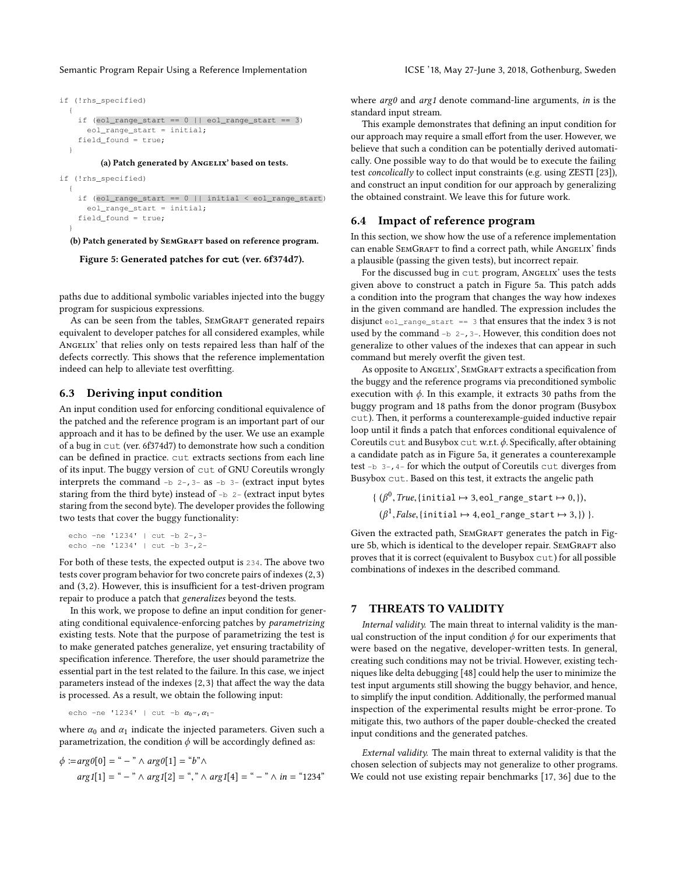```
if (!rhs_specified)
  {
    if (eol\_range\_start == 0 || eol\_range\_start == 3)eol_range_start = initial;
    field_found = true;
  }
```
(a) Patch generated by ANGELIX' based on tests.

```
if (!rhs_specified)
  {
    if (eol range start == 0 || initial < eol range start)
      eol_range_start = initial;
    field_found = true;
  }
  (b) Patch generated by SEMGRAFT based on reference program.
```
Figure 5: Generated patches for **cut** (ver. 6f374d7).

paths due to additional symbolic variables injected into the buggy program for suspicious expressions.

As can be seen from the tables, SEMGRAFT generated repairs equivalent to developer patches for all considered examples, while ANGELIX' that relies only on tests repaired less than half of the defects correctly. This shows that the reference implementation indeed can help to alleviate test overfitting.

# 6.3 Deriving input condition

An input condition used for enforcing conditional equivalence of the patched and the reference program is an important part of our approach and it has to be defined by the user. We use an example of a bug in cut (ver. 6f374d7) to demonstrate how such a condition can be defined in practice. cut extracts sections from each line of its input. The buggy version of cut of GNU Coreutils wrongly interprets the command  $-b$  2-, 3- as  $-b$  3- (extract input bytes staring from the third byte) instead of  $-b$  2- (extract input bytes staring from the second byte). The developer provides the following two tests that cover the buggy functionality:

```
echo -ne '1234' | cut -b 2-,3-
echo -ne '1234' | cut -b 3-,2-
```
For both of these tests, the expected output is 234. The above two tests cover program behavior for two concrete pairs of indexes (2,3) and (3,2). However, this is insufficient for a test-driven program repair to produce a patch that generalizes beyond the tests.

In this work, we propose to define an input condition for generating conditional equivalence-enforcing patches by parametrizing existing tests. Note that the purpose of parametrizing the test is to make generated patches generalize, yet ensuring tractability of specification inference. Therefore, the user should parametrize the essential part in the test related to the failure. In this case, we inject parameters instead of the indexes {2,3} that affect the way the data is processed. As a result, we obtain the following input:

echo -ne '1234' | cut -b 
$$
\alpha_0
$$
-,  $\alpha_1$  -

where  $\alpha_0$  and  $\alpha_1$  indicate the injected parameters. Given such a parametrization, the condition  $\phi$  will be accordingly defined as:

$$
\phi := arg0[0] = " - " \land arg0[1] = "b" \land
$$
  
arg1[1] = " - " \land arg1[2] = ", " \land arg1[4] = " - " \land in = "1234"

where  $arg\theta$  and  $arg1$  denote command-line arguments, in is the standard input stream.

This example demonstrates that defining an input condition for our approach may require a small effort from the user. However, we believe that such a condition can be potentially derived automatically. One possible way to do that would be to execute the failing test concolically to collect input constraints (e.g. using ZESTI [23]), and construct an input condition for our approach by generalizing the obtained constraint. We leave this for future work.

#### 6.4 Impact of reference program

In this section, we show how the use of a reference implementation can enable SEMGRAFT to find a correct path, while ANGELIX' finds a plausible (passing the given tests), but incorrect repair.

For the discussed bug in cut program, Angelix' uses the tests given above to construct a patch in Figure 5a. This patch adds a condition into the program that changes the way how indexes in the given command are handled. The expression includes the disjunct eol\_range\_start == 3 that ensures that the index 3 is not used by the command -b 2-, 3-. However, this condition does not generalize to other values of the indexes that can appear in such command but merely overfit the given test.

As opposite to ANGELIX', SEMGRAFT extracts a specification from the buggy and the reference programs via preconditioned symbolic execution with  $\phi$ . In this example, it extracts 30 paths from the buggy program and 18 paths from the donor program (Busybox cut). Then, it performs a counterexample-guided inductive repair loop until it finds a patch that enforces conditional equivalence of Coreutils cut and Busybox cut w.r.t. $\phi$ . Specifically, after obtaining a candidate patch as in Figure 5a, it generates a counterexample test -b 3-,4- for which the output of Coreutils cut diverges from Busybox cut. Based on this test, it extracts the angelic path

```
{(\beta^0, True, \{initial \mapsto 3, eol\_range\_start \mapsto 0, \}),(\beta^1, False, \{\text{initial} \mapsto 4, \text{eol\_range\_start} \mapsto 3, \}) }.
```
Given the extracted path, SEMGRAFT generates the patch in Figure 5b, which is identical to the developer repair. SEMGRAFT also proves that it is correct (equivalent to Busybox cut) for all possible combinations of indexes in the described command.

## 7 THREATS TO VALIDITY

Internal validity. The main threat to internal validity is the manual construction of the input condition  $\phi$  for our experiments that were based on the negative, developer-written tests. In general, creating such conditions may not be trivial. However, existing techniques like delta debugging [48] could help the user to minimize the test input arguments still showing the buggy behavior, and hence, to simplify the input condition. Additionally, the performed manual inspection of the experimental results might be error-prone. To mitigate this, two authors of the paper double-checked the created input conditions and the generated patches.

External validity. The main threat to external validity is that the chosen selection of subjects may not generalize to other programs. We could not use existing repair benchmarks [17, 36] due to the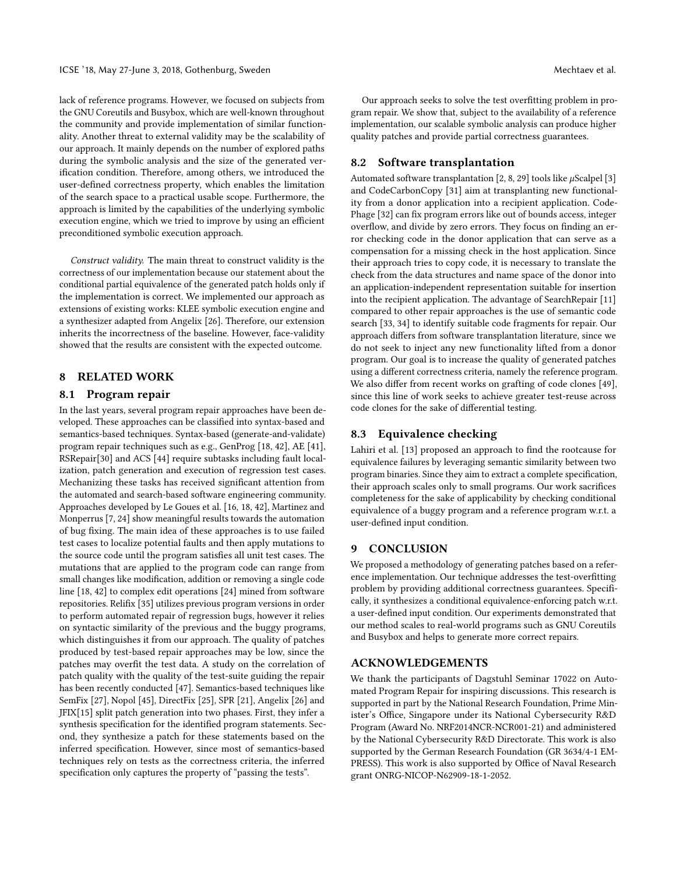lack of reference programs. However, we focused on subjects from the GNU Coreutils and Busybox, which are well-known throughout the community and provide implementation of similar functionality. Another threat to external validity may be the scalability of our approach. It mainly depends on the number of explored paths during the symbolic analysis and the size of the generated verification condition. Therefore, among others, we introduced the user-defined correctness property, which enables the limitation of the search space to a practical usable scope. Furthermore, the approach is limited by the capabilities of the underlying symbolic execution engine, which we tried to improve by using an efficient preconditioned symbolic execution approach.

Construct validity. The main threat to construct validity is the correctness of our implementation because our statement about the conditional partial equivalence of the generated patch holds only if the implementation is correct. We implemented our approach as extensions of existing works: KLEE symbolic execution engine and a synthesizer adapted from Angelix [26]. Therefore, our extension inherits the incorrectness of the baseline. However, face-validity showed that the results are consistent with the expected outcome.

# 8 RELATED WORK

## 8.1 Program repair

In the last years, several program repair approaches have been developed. These approaches can be classified into syntax-based and semantics-based techniques. Syntax-based (generate-and-validate) program repair techniques such as e.g., GenProg [18, 42], AE [41], RSRepair[30] and ACS [44] require subtasks including fault localization, patch generation and execution of regression test cases. Mechanizing these tasks has received significant attention from the automated and search-based software engineering community. Approaches developed by Le Goues et al. [16, 18, 42], Martinez and Monperrus [7, 24] show meaningful results towards the automation of bug fixing. The main idea of these approaches is to use failed test cases to localize potential faults and then apply mutations to the source code until the program satisfies all unit test cases. The mutations that are applied to the program code can range from small changes like modification, addition or removing a single code line [18, 42] to complex edit operations [24] mined from software repositories. Relifix [35] utilizes previous program versions in order to perform automated repair of regression bugs, however it relies on syntactic similarity of the previous and the buggy programs, which distinguishes it from our approach. The quality of patches produced by test-based repair approaches may be low, since the patches may overfit the test data. A study on the correlation of patch quality with the quality of the test-suite guiding the repair has been recently conducted [47]. Semantics-based techniques like SemFix [27], Nopol [45], DirectFix [25], SPR [21], Angelix [26] and JFIX[15] split patch generation into two phases. First, they infer a synthesis specification for the identified program statements. Second, they synthesize a patch for these statements based on the inferred specification. However, since most of semantics-based techniques rely on tests as the correctness criteria, the inferred specification only captures the property of "passing the tests".

Our approach seeks to solve the test overfitting problem in program repair. We show that, subject to the availability of a reference implementation, our scalable symbolic analysis can produce higher quality patches and provide partial correctness guarantees.

#### 8.2 Software transplantation

Automated software transplantation [2, 8, 29] tools like  $\mu$ Scalpel [3] and CodeCarbonCopy [31] aim at transplanting new functionality from a donor application into a recipient application. Code-Phage [32] can fix program errors like out of bounds access, integer overflow, and divide by zero errors. They focus on finding an error checking code in the donor application that can serve as a compensation for a missing check in the host application. Since their approach tries to copy code, it is necessary to translate the check from the data structures and name space of the donor into an application-independent representation suitable for insertion into the recipient application. The advantage of SearchRepair [11] compared to other repair approaches is the use of semantic code search [33, 34] to identify suitable code fragments for repair. Our approach differs from software transplantation literature, since we do not seek to inject any new functionality lifted from a donor program. Our goal is to increase the quality of generated patches using a different correctness criteria, namely the reference program. We also differ from recent works on grafting of code clones [49], since this line of work seeks to achieve greater test-reuse across code clones for the sake of differential testing.

#### 8.3 Equivalence checking

Lahiri et al. [13] proposed an approach to find the rootcause for equivalence failures by leveraging semantic similarity between two program binaries. Since they aim to extract a complete specification, their approach scales only to small programs. Our work sacrifices completeness for the sake of applicability by checking conditional equivalence of a buggy program and a reference program w.r.t. a user-defined input condition.

# 9 CONCLUSION

We proposed a methodology of generating patches based on a reference implementation. Our technique addresses the test-overfitting problem by providing additional correctness guarantees. Specifically, it synthesizes a conditional equivalence-enforcing patch w.r.t. a user-defined input condition. Our experiments demonstrated that our method scales to real-world programs such as GNU Coreutils and Busybox and helps to generate more correct repairs.

## ACKNOWLEDGEMENTS

We thank the participants of Dagstuhl Seminar 17022 on Automated Program Repair for inspiring discussions. This research is supported in part by the National Research Foundation, Prime Minister's Office, Singapore under its National Cybersecurity R&D Program (Award No. NRF2014NCR-NCR001-21) and administered by the National Cybersecurity R&D Directorate. This work is also supported by the German Research Foundation (GR 3634/4-1 EM-PRESS). This work is also supported by Office of Naval Research grant ONRG-NICOP-N62909-18-1-2052.